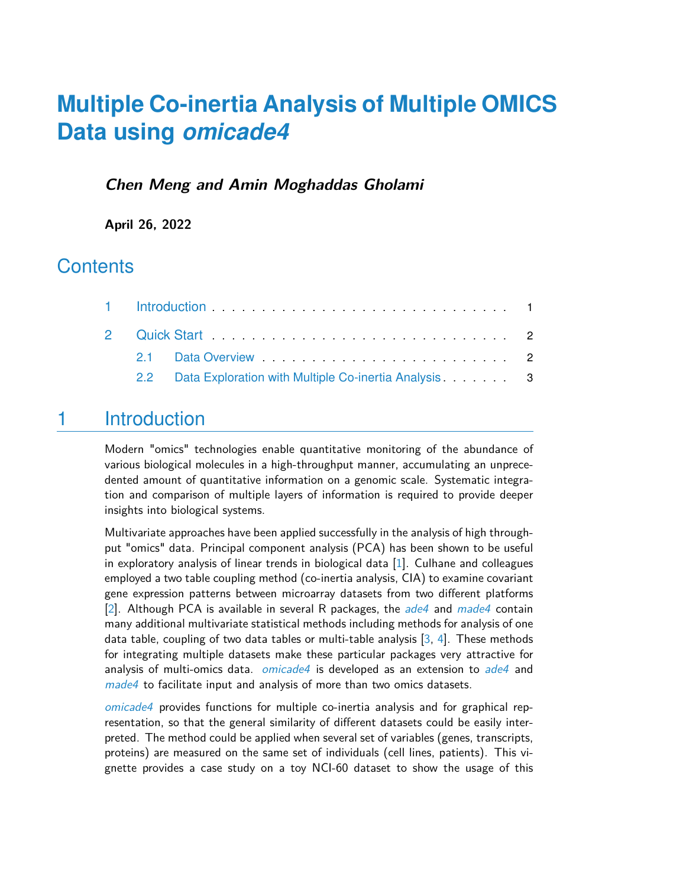# **Multiple Co-inertia Analysis of Multiple OMICS Data using** *omicade4*

#### **Chen Meng and Amin Moghaddas Gholami**

**April 26, 2022**

#### **Contents**

| 2.2 Data Exploration with Multiple Co-inertia Analysis. 3 |  |
|-----------------------------------------------------------|--|
|                                                           |  |

## <span id="page-0-0"></span>1 Introduction

Modern "omics" technologies enable quantitative monitoring of the abundance of various biological molecules in a high-throughput manner, accumulating an unprecedented amount of quantitative information on a genomic scale. Systematic integration and comparison of multiple layers of information is required to provide deeper insights into biological systems.

Multivariate approaches have been applied successfully in the analysis of high throughput "omics" data. Principal component analysis (PCA) has been shown to be useful in exploratory analysis of linear trends in biological data [\[1\]](#page-5-0). Culhane and colleagues employed a two table coupling method (co-inertia analysis, CIA) to examine covariant gene expression patterns between microarray datasets from two different platforms [\[2\]](#page-5-1). Although PCA is available in several R packages, the  $ade4$  and  $made4$  contain many additional multivariate statistical methods including methods for analysis of one data table, coupling of two data tables or multi-table analysis  $[3, 4]$  $[3, 4]$  $[3, 4]$ . These methods for integrating multiple datasets make these particular packages very attractive for analysis of multi-omics data. *[omicade4](http://bioconductor.org/packages/omicade4)* is developed as an extension to [ade4](http://bioconductor.org/packages/ade4) and [made4](http://bioconductor.org/packages/made4) to facilitate input and analysis of more than two omics datasets.

[omicade4](http://bioconductor.org/packages/omicade4) provides functions for multiple co-inertia analysis and for graphical representation, so that the general similarity of different datasets could be easily interpreted. The method could be applied when several set of variables (genes, transcripts, proteins) are measured on the same set of individuals (cell lines, patients). This vignette provides a case study on a toy NCI-60 dataset to show the usage of this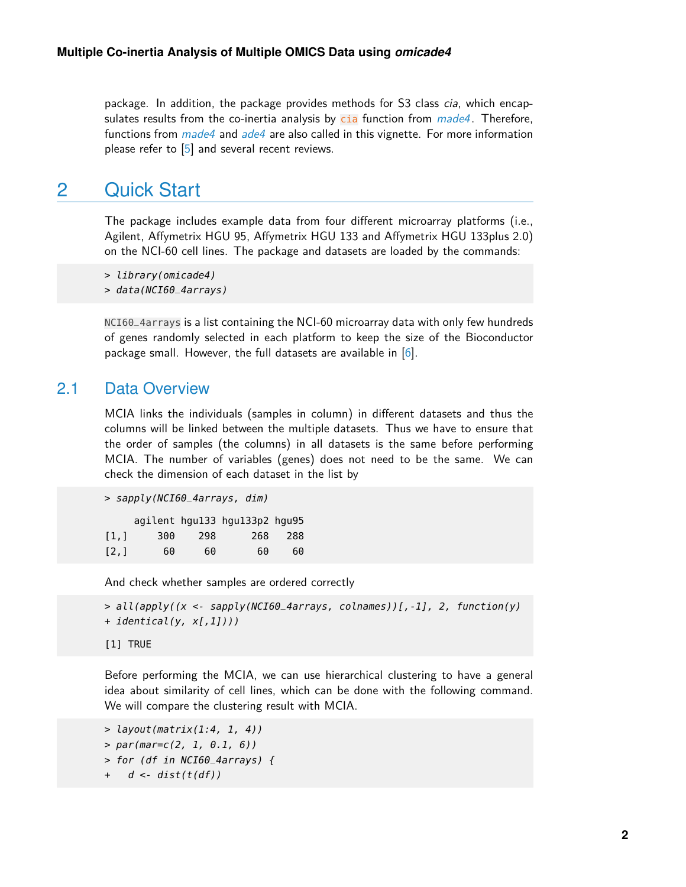package. In addition, the package provides methods for S3 class cia, which encapsulates results from the co-inertia analysis by  $\overline{c}$  function from  $m$  ade4. Therefore, functions from *[made4](http://bioconductor.org/packages/made4)* and *[ade4](http://bioconductor.org/packages/ade4)* are also called in this vignette. For more information please refer to  $[5]$  and several recent reviews.

## <span id="page-1-0"></span>2 Quick Start

The package includes example data from four different microarray platforms (i.e., Agilent, Affymetrix HGU 95, Affymetrix HGU 133 and Affymetrix HGU 133plus 2.0) on the NCI-60 cell lines. The package and datasets are loaded by the commands:

```
> library(omicade4)
```

```
> data(NCI60_4arrays)
```
<span id="page-1-1"></span>NCI60\_4arrays is a list containing the NCI-60 microarray data with only few hundreds of genes randomly selected in each platform to keep the size of the Bioconductor package small. However, the full datasets are available in  $[6]$ .

#### 2.1 Data Overview

MCIA links the individuals (samples in column) in different datasets and thus the columns will be linked between the multiple datasets. Thus we have to ensure that the order of samples (the columns) in all datasets is the same before performing MCIA. The number of variables (genes) does not need to be the same. We can check the dimension of each dataset in the list by

```
> sapply(NCI60_4arrays, dim)
    agilent hgu133 hgu133p2 hgu95
[1,] 300 298 268 288
```
[2,] 60 60 60 60

And check whether samples are ordered correctly

```
> all(apply((x <- sapply(NCI60_4arrays, colnames))[,-1], 2, function(y)
+ identical(y, x[,1])))
[1] TRUE
```
Before performing the MCIA, we can use hierarchical clustering to have a general idea about similarity of cell lines, which can be done with the following command. We will compare the clustering result with MCIA.

```
> layout(matrix(1:4, 1, 4))
> par(max=c(2, 1, 0.1, 6))> for (df in NCI60_4arrays) {
```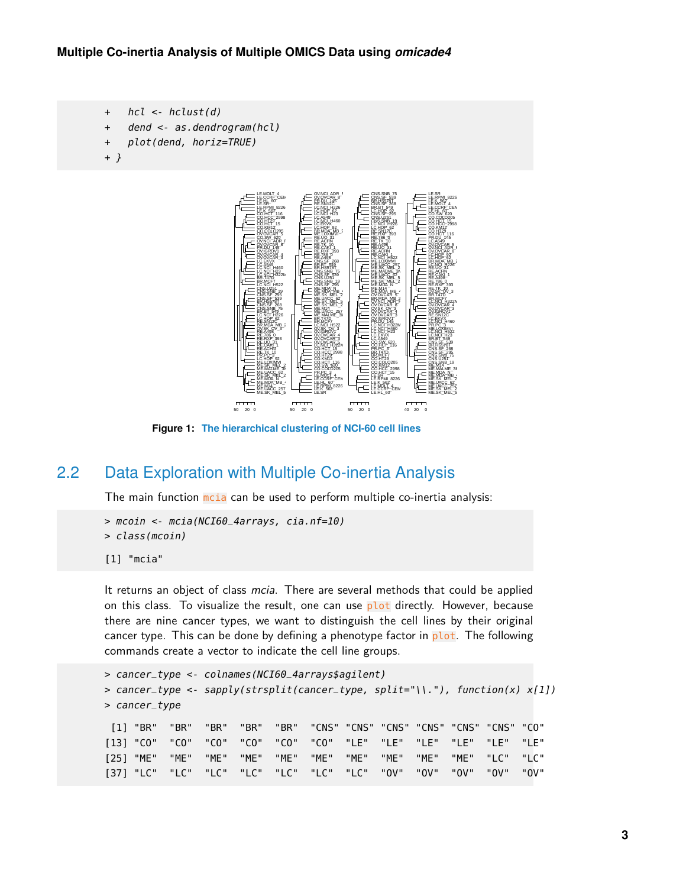```
+ hcl <- hclust(d)
```
- + dend <- as.dendrogram(hcl)
- + plot(dend, horiz=TRUE)
- <span id="page-2-1"></span>+ }



<span id="page-2-0"></span>**Figure 1: The hierarchical clustering of NCI-60 cell lines**

#### 2.2 Data Exploration with Multiple Co-inertia Analysis

The main function motia can be used to perform multiple co-inertia analysis:

```
> mcoin <- mcia(NCI60_4arrays, cia.nf=10)
> class(mcoin)
[1] "mcia"
```
It returns an object of class *mcia*. There are several methods that could be applied on this class. To visualize the result, one can use  $plot$  directly. However, because there are nine cancer types, we want to distinguish the cell lines by their original cancer type. This can be done by defining a phenotype factor in  $plot$ . The following commands create a vector to indicate the cell line groups.

```
> cancer_type <- colnames(NCI60_4arrays$agilent)
> cancer_type <- sapply(strsplit(cancer_type, split="\\."), function(x) x[1])
> cancer_type
 [1] "BR" "BR" "BR" "BR" "BR" "CNS" "CNS" "CNS" "CNS" "CNS" "CNS" "CO"
[13] "CO" "CO" "CO" "CO" "CO" "CO" "LE" "LE" "LE" "LE" "LE" "LE"
[25] "ME" "ME" "ME" "ME" "ME" "ME" "ME" "ME" "ME" "ME" "LC" "LC"
[37] "LC" "LC" "LC" "LC" "LC" "LC" "LC" "OV" "OV" "OV" "OV" "OV"
```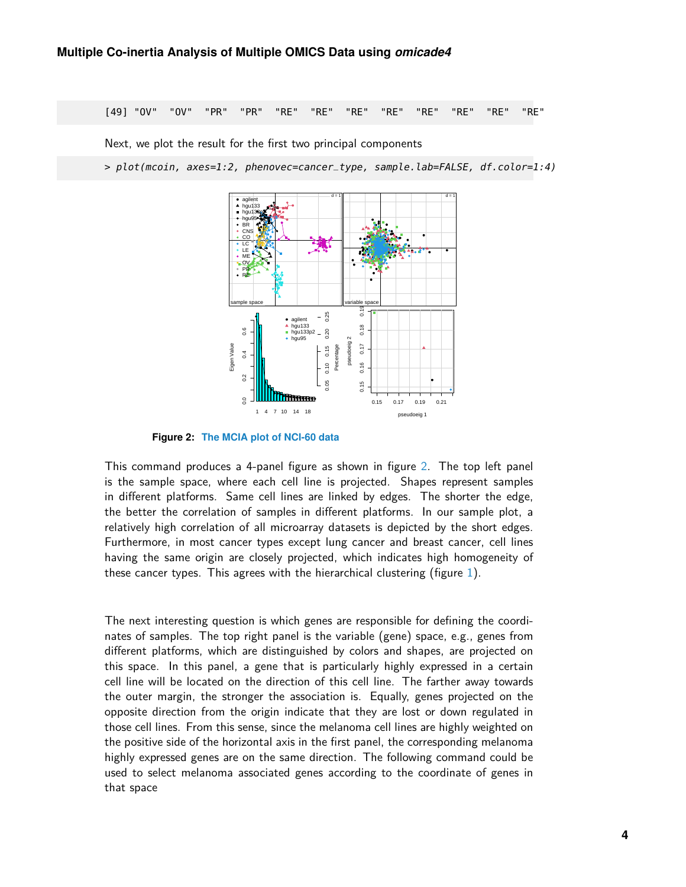[49] "OV" "OV" "PR" "PR" "RE" "RE" "RE" "RE" "RE" "RE" "RE" "RE"

Next, we plot the result for the first two principal components

<span id="page-3-0"></span>> plot(mcoin, axes=1:2, phenovec=cancer\_type, sample.lab=FALSE, df.color=1:4)



**Figure 2: The MCIA plot of NCI-60 data**

This command produces a 4-panel figure as shown in figure [2.](#page-3-0) The top left panel is the sample space, where each cell line is projected. Shapes represent samples in different platforms. Same cell lines are linked by edges. The shorter the edge, the better the correlation of samples in different platforms. In our sample plot, a relatively high correlation of all microarray datasets is depicted by the short edges. Furthermore, in most cancer types except lung cancer and breast cancer, cell lines having the same origin are closely projected, which indicates high homogeneity of these cancer types. This agrees with the hierarchical clustering (figure [1\)](#page-2-1).

The next interesting question is which genes are responsible for defining the coordinates of samples. The top right panel is the variable (gene) space, e.g., genes from different platforms, which are distinguished by colors and shapes, are projected on this space. In this panel, a gene that is particularly highly expressed in a certain cell line will be located on the direction of this cell line. The farther away towards the outer margin, the stronger the association is. Equally, genes projected on the opposite direction from the origin indicate that they are lost or down regulated in those cell lines. From this sense, since the melanoma cell lines are highly weighted on the positive side of the horizontal axis in the first panel, the corresponding melanoma highly expressed genes are on the same direction. The following command could be used to select melanoma associated genes according to the coordinate of genes in that space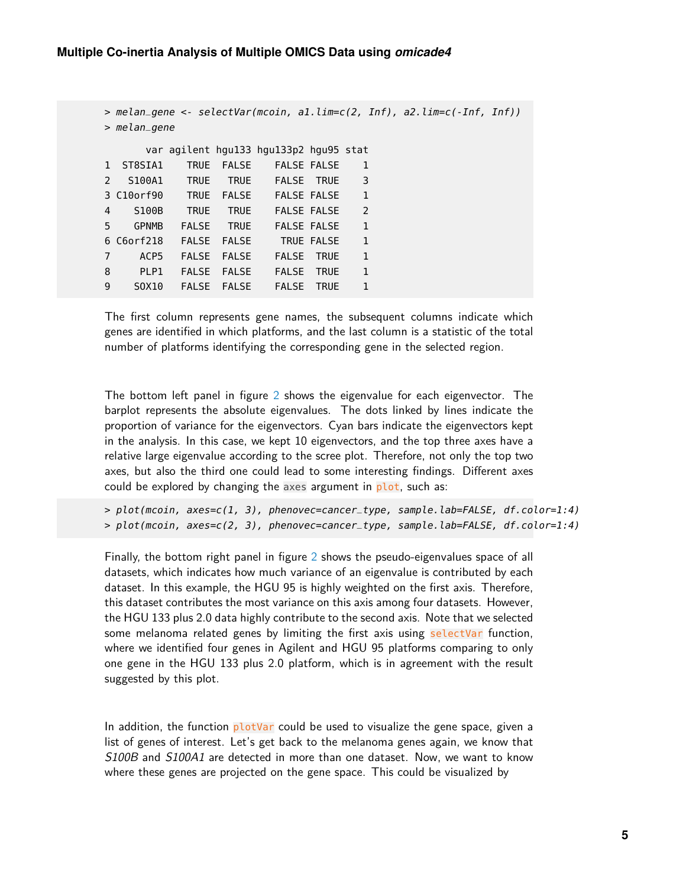```
> melan_gene <- selectVar(mcoin, a1.lim=c(2, Inf), a2.lim=c(-Inf, Inf))
> melan_gene
     var agilent hgu133 hgu133p2 hgu95 stat
1 ST8SIA1 TRUE FALSE FALSE FALSE 1
2 S100A1 TRUE TRUE FALSE TRUE 3
3 C10orf90 TRUE FALSE FALSE FALSE 1
4 S100B TRUE TRUE FALSE FALSE 2
5 GPNMB FALSE TRUE FALSE FALSE 1
6 C6orf218 FALSE FALSE TRUE FALSE 1
7 ACP5 FALSE FALSE FALSE TRUE 1
8 PLP1 FALSE FALSE FALSE TRUE 1
9 SOX10 FALSE FALSE FALSE TRUE 1
```
The first column represents gene names, the subsequent columns indicate which genes are identified in which platforms, and the last column is a statistic of the total number of platforms identifying the corresponding gene in the selected region.

The bottom left panel in figure [2](#page-3-0) shows the eigenvalue for each eigenvector. The barplot represents the absolute eigenvalues. The dots linked by lines indicate the proportion of variance for the eigenvectors. Cyan bars indicate the eigenvectors kept in the analysis. In this case, we kept 10 eigenvectors, and the top three axes have a relative large eigenvalue according to the scree plot. Therefore, not only the top two axes, but also the third one could lead to some interesting findings. Different axes could be explored by changing the axes argument in plot, such as:

> plot(mcoin, axes=c(1, 3), phenovec=cancer\_type, sample.lab=FALSE, df.color=1:4) > plot(mcoin, axes=c(2, 3), phenovec=cancer\_type, sample.lab=FALSE, df.color=1:4)

Finally, the bottom right panel in figure [2](#page-3-0) shows the pseudo-eigenvalues space of all datasets, which indicates how much variance of an eigenvalue is contributed by each dataset. In this example, the HGU 95 is highly weighted on the first axis. Therefore, this dataset contributes the most variance on this axis among four datasets. However, the HGU 133 plus 2.0 data highly contribute to the second axis. Note that we selected some melanoma related genes by limiting the first axis using selectVar function, where we identified four genes in Agilent and HGU 95 platforms comparing to only one gene in the HGU 133 plus 2.0 platform, which is in agreement with the result suggested by this plot.

In addition, the function  $plotVar$  could be used to visualize the gene space, given a list of genes of interest. Let's get back to the melanoma genes again, we know that S100B and S100A1 are detected in more than one dataset. Now, we want to know where these genes are projected on the gene space. This could be visualized by